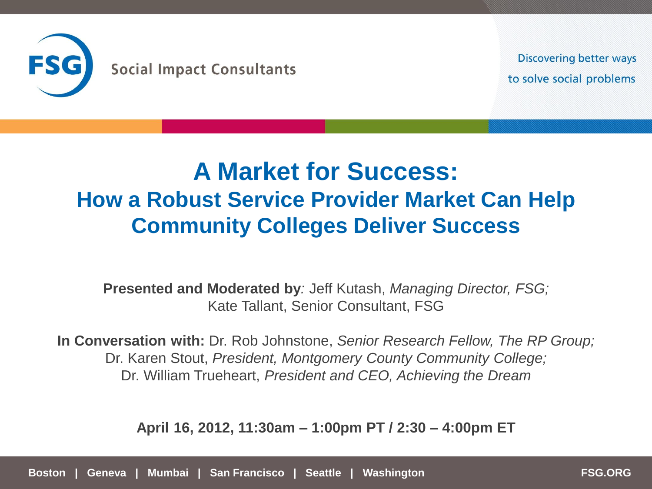

**Discovering better ways** to solve social problems

# **A Market for Success: How a Robust Service Provider Market Can Help Community Colleges Deliver Success**

**Presented and Moderated by***:* Jeff Kutash, *Managing Director, FSG;*  Kate Tallant, Senior Consultant, FSG

**In Conversation with:** Dr. Rob Johnstone, *Senior Research Fellow, The RP Group;*  Dr. Karen Stout, *President, Montgomery County Community College;*  Dr. William Trueheart, *President and CEO, Achieving the Dream*

**April 16, 2012, 11:30am – 1:00pm PT / 2:30 – 4:00pm ET**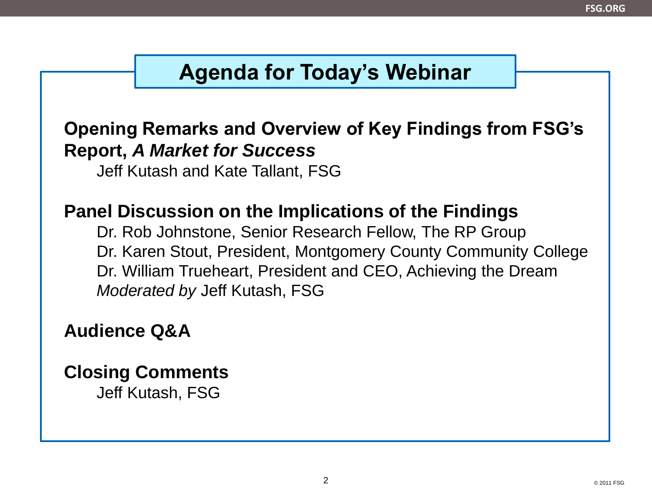## **Agenda for Today's Webinar**

### **Opening Remarks and Overview of Key Findings from FSG's Report,** *A Market for Success*

Jeff Kutash and Kate Tallant, FSG

### **Panel Discussion on the Implications of the Findings**

Dr. Rob Johnstone, Senior Research Fellow, The RP Group Dr. Karen Stout, President, Montgomery County Community College Dr. William Trueheart, President and CEO, Achieving the Dream *Moderated by* Jeff Kutash, FSG

### **Audience Q&A**

## **Closing Comments**

Jeff Kutash, FSG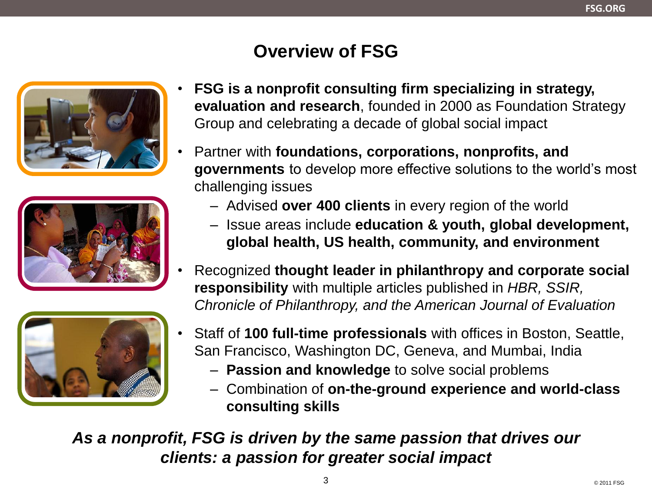## **Overview of FSG**







- **FSG is a nonprofit consulting firm specializing in strategy, evaluation and research**, founded in 2000 as Foundation Strategy Group and celebrating a decade of global social impact
- Partner with **foundations, corporations, nonprofits, and governments** to develop more effective solutions to the world's most challenging issues
	- Advised **over 400 clients** in every region of the world
	- Issue areas include **education & youth, global development, global health, US health, community, and environment**
- Recognized **thought leader in philanthropy and corporate social responsibility** with multiple articles published in *HBR, SSIR, Chronicle of Philanthropy, and the American Journal of Evaluation*
- Staff of **100 full-time professionals** with offices in Boston, Seattle, San Francisco, Washington DC, Geneva, and Mumbai, India
	- **Passion and knowledge** to solve social problems
	- Combination of **on-the-ground experience and world-class consulting skills**

*As a nonprofit, FSG is driven by the same passion that drives our clients: a passion for greater social impact*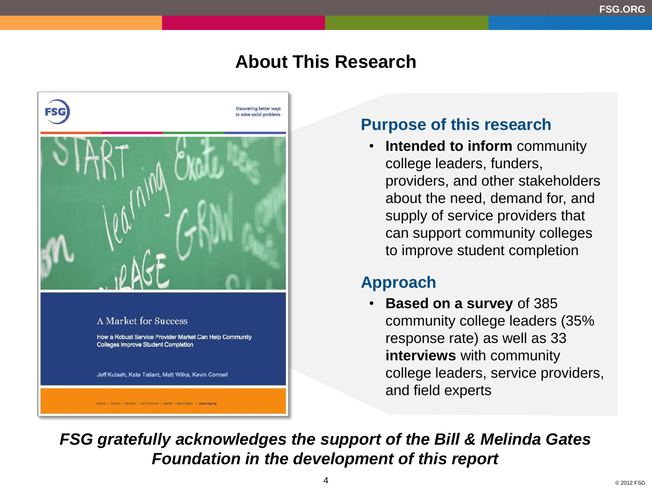### **About This Research**



### **Purpose of this research**

• **Intended to inform** community college leaders, funders, providers, and other stakeholders about the need, demand for, and supply of service providers that can support community colleges to improve student completion

### **Approach**

• **Based on a survey** of 385 community college leaders (35% response rate) as well as 33 **interviews** with community college leaders, service providers, and field experts

*FSG gratefully acknowledges the support of the Bill & Melinda Gates Foundation in the development of this report*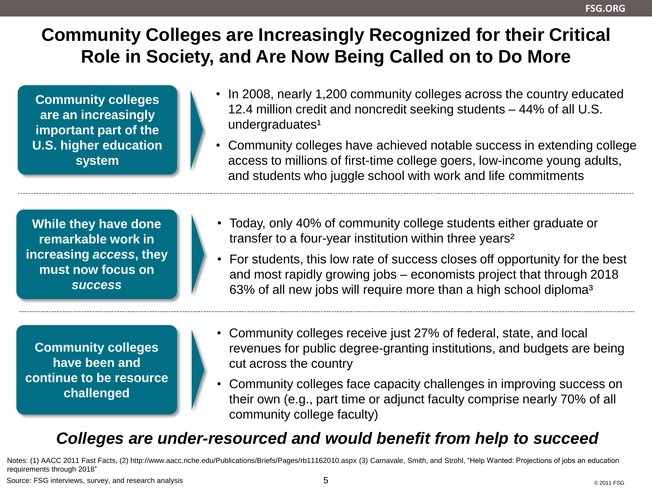## **Community Colleges are Increasingly Recognized for their Critical Role in Society, and Are Now Being Called on to Do More**

**Community colleges are an increasingly important part of the U.S. higher education system**

- In 2008, nearly 1,200 community colleges across the country educated 12.4 million credit and noncredit seeking students – 44% of all U.S. undergraduates<sup>1</sup>
- Community colleges have achieved notable success in extending college access to millions of first-time college goers, low-income young adults, and students who juggle school with work and life commitments

**While they have done remarkable work in increasing** *access***, they must now focus on**  *success*

**Community colleges have been and continue to be resource challenged**

- Today, only 40% of community college students either graduate or transfer to a four-year institution within three years²
- For students, this low rate of success closes off opportunity for the best and most rapidly growing jobs – economists project that through 2018 63% of all new jobs will require more than a high school diploma<sup>3</sup>
- Community colleges receive just 27% of federal, state, and local revenues for public degree-granting institutions, and budgets are being cut across the country
- Community colleges face capacity challenges in improving success on their own (e.g., part time or adjunct faculty comprise nearly 70% of all community college faculty)

### *Colleges are under-resourced and would benefit from help to succeed*

Notes: (1) AACC 2011 Fast Facts, (2) http://www.aacc.nche.edu/Publications/Briefs/Pages/rb11162010.aspx (3) Carnavale, Smith, and Strohl, "Help Wanted: Projections of jobs an education requirements through 2018"

Source: FSG interviews, survey, and research analysis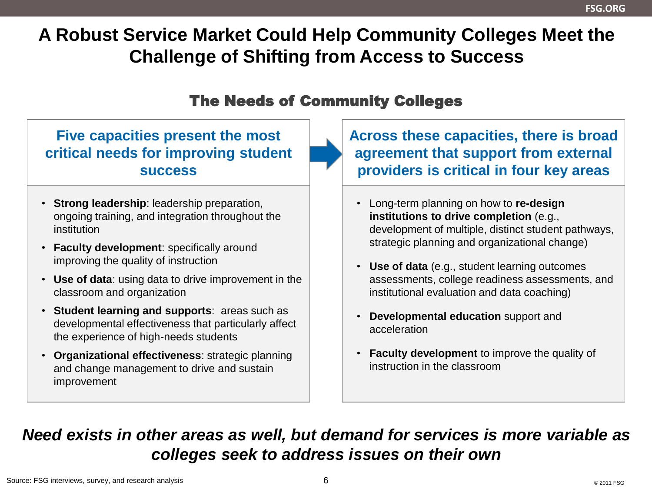## **A Robust Service Market Could Help Community Colleges Meet the Challenge of Shifting from Access to Success**

#### The Needs of Community Colleges

### **Five capacities present the most critical needs for improving student success**

- **Strong leadership**: leadership preparation, ongoing training, and integration throughout the institution
- **Faculty development**: specifically around improving the quality of instruction
- **Use of data**: using data to drive improvement in the classroom and organization
- **Student learning and supports**: areas such as developmental effectiveness that particularly affect the experience of high-needs students
- **Organizational effectiveness**: strategic planning and change management to drive and sustain improvement

**Across these capacities, there is broad agreement that support from external providers is critical in four key areas**

- Long-term planning on how to **re-design institutions to drive completion** (e.g., development of multiple, distinct student pathways, strategic planning and organizational change)
- **Use of data** (e.g., student learning outcomes assessments, college readiness assessments, and institutional evaluation and data coaching)
- **Developmental education** support and acceleration
- **Faculty development** to improve the quality of instruction in the classroom

### *Need exists in other areas as well, but demand for services is more variable as colleges seek to address issues on their own*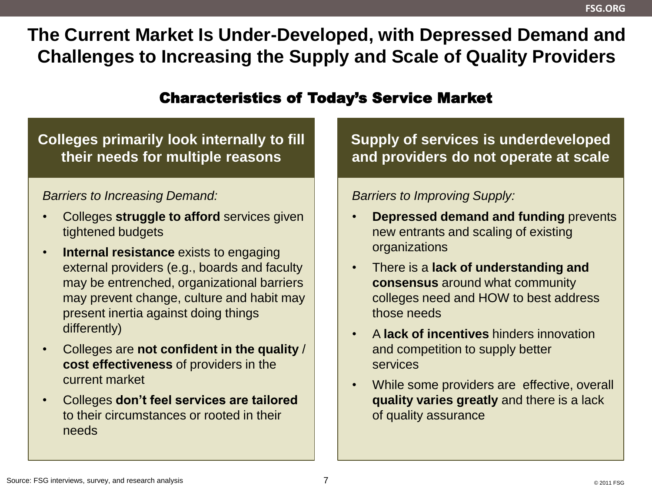**The Current Market Is Under-Developed, with Depressed Demand and Challenges to Increasing the Supply and Scale of Quality Providers**

#### Characteristics of Today's Service Market

### **Colleges primarily look internally to fill their needs for multiple reasons**

#### *Barriers to Increasing Demand:*

- Colleges **struggle to afford** services given tightened budgets
- **Internal resistance** exists to engaging external providers (e.g., boards and faculty may be entrenched, organizational barriers may prevent change, culture and habit may present inertia against doing things differently)
- Colleges are **not confident in the quality** / **cost effectiveness** of providers in the current market
- Colleges **don't feel services are tailored**  to their circumstances or rooted in their needs

**Supply of services is underdeveloped and providers do not operate at scale**

#### *Barriers to Improving Supply:*

- **Depressed demand and funding** prevents new entrants and scaling of existing organizations
- There is a **lack of understanding and consensus** around what community colleges need and HOW to best address those needs
- A **lack of incentives** hinders innovation and competition to supply better services
- While some providers are effective, overall **quality varies greatly** and there is a lack of quality assurance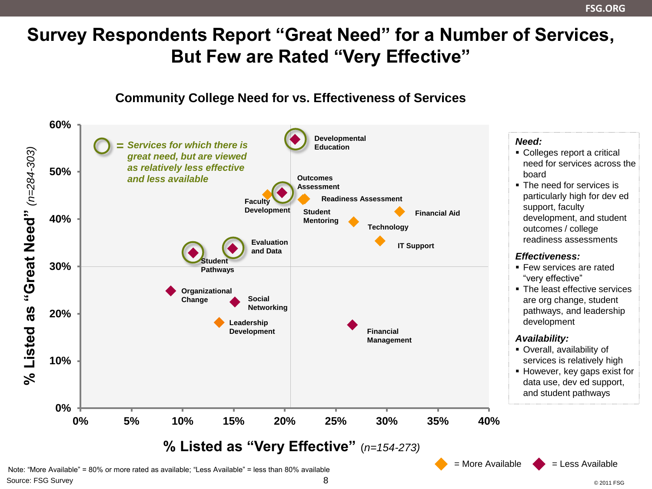## **Survey Respondents Report "Great Need" for a Number of Services, But Few are Rated "Very Effective"**



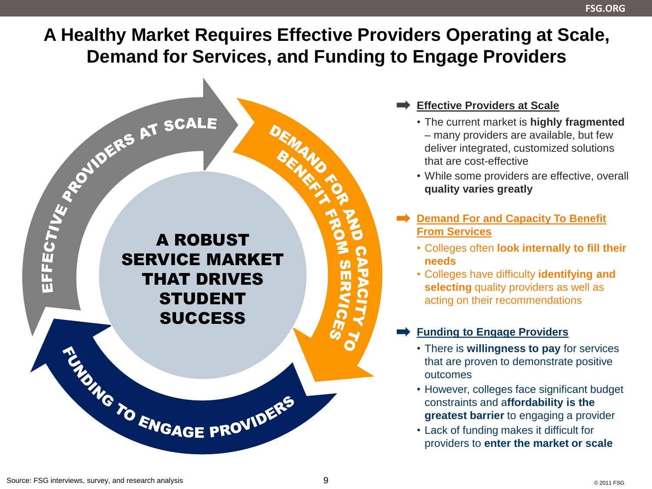#### **FSG.ORG**

## **A Healthy Market Requires Effective Providers Operating at Scale, Demand for Services, and Funding to Engage Providers**



- **Effective Providers at Scale**
	- The current market is **highly fragmented** – many providers are available, but few deliver integrated, customized solutions that are cost-effective
	- While some providers are effective, overall **quality varies greatly**
- **Demand For and Capacity To Benefit From Services**
	- Colleges often **look internally to fill their needs**
	- Colleges have difficulty **identifying and selecting** quality providers as well as acting on their recommendations

#### **Funding to Engage Providers**

- There is **willingness to pay** for services that are proven to demonstrate positive outcomes
- However, colleges face significant budget constraints and a**ffordability is the greatest barrier** to engaging a provider
- Lack of funding makes it difficult for providers to **enter the market or scale**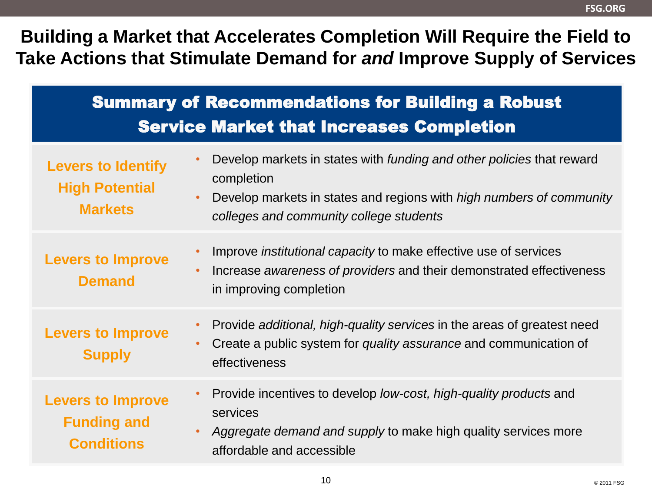### **Building a Market that Accelerates Completion Will Require the Field to Take Actions that Stimulate Demand for** *and* **Improve Supply of Services**

| <b>Summary of Recommendations for Building a Robust</b><br><b>Service Market that Increases Completion</b> |                                                                                                                                                                                                                      |
|------------------------------------------------------------------------------------------------------------|----------------------------------------------------------------------------------------------------------------------------------------------------------------------------------------------------------------------|
| <b>Levers to Identify</b><br><b>High Potential</b><br><b>Markets</b>                                       | Develop markets in states with <i>funding and other policies</i> that reward<br>completion<br>Develop markets in states and regions with <i>high numbers of community</i><br>colleges and community college students |
| <b>Levers to Improve</b><br><b>Demand</b>                                                                  | Improve <i>institutional capacity</i> to make effective use of services<br>Increase awareness of providers and their demonstrated effectiveness<br>in improving completion                                           |
| <b>Levers to Improve</b><br><b>Supply</b>                                                                  | Provide additional, high-quality services in the areas of greatest need<br>Create a public system for quality assurance and communication of<br>effectiveness                                                        |
| <b>Levers to Improve</b><br><b>Funding and</b><br><b>Conditions</b>                                        | Provide incentives to develop low-cost, high-quality products and<br>$\bullet$<br>services<br>Aggregate demand and supply to make high quality services more<br>affordable and accessible                            |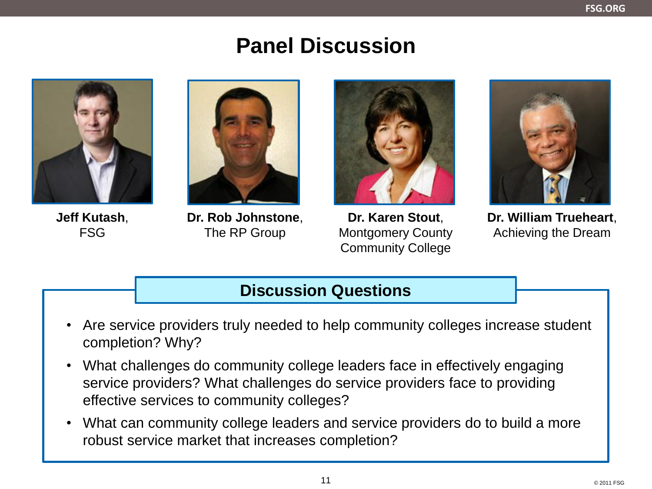## **Panel Discussion**

**Jeff Kutash**, FSG



**Dr. Rob Johnstone**, The RP Group



**Dr. Karen Stout**, Montgomery County Community College



**Dr. William Trueheart**, Achieving the Dream

### **Discussion Questions**

- Are service providers truly needed to help community colleges increase student completion? Why?
- What challenges do community college leaders face in effectively engaging service providers? What challenges do service providers face to providing effective services to community colleges?
- What can community college leaders and service providers do to build a more robust service market that increases completion?